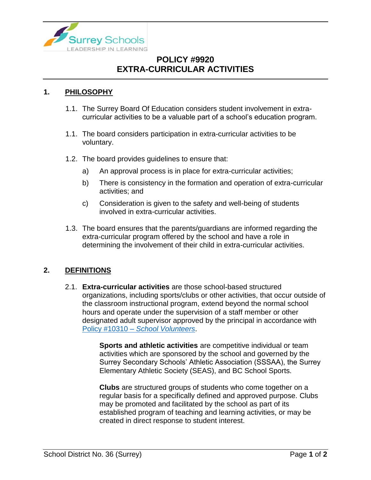

# **POLICY #9920 EXTRA-CURRICULAR ACTIVITIES**

#### **1. PHILOSOPHY**

- 1.1. The Surrey Board Of Education considers student involvement in extracurricular activities to be a valuable part of a school's education program.
- 1.1. The board considers participation in extra-curricular activities to be voluntary.
- 1.2. The board provides guidelines to ensure that:
	- a) An approval process is in place for extra-curricular activities;
	- b) There is consistency in the formation and operation of extra-curricular activities; and
	- c) Consideration is given to the safety and well-being of students involved in extra-curricular activities.
- 1.3. The board ensures that the parents/guardians are informed regarding the extra-curricular program offered by the school and have a role in determining the involvement of their child in extra-curricular activities.

#### **2. DEFINITIONS**

2.1. **Extra-curricular activities** are those school-based structured organizations, including sports/clubs or other activities, that occur outside of the classroom instructional program, extend beyond the normal school hours and operate under the supervision of a staff member or other designated adult supervisor approved by the principal in accordance with Policy #10310 – *[School Volunteers](https://www.surreyschools.ca/departments/SECT/PoliciesRegulations/section_10000/Documents/10310%20Policy.pdf)*.

> **Sports and athletic activities** are competitive individual or team activities which are sponsored by the school and governed by the Surrey Secondary Schools' Athletic Association (SSSAA), the Surrey Elementary Athletic Society (SEAS), and BC School Sports.

**Clubs** are structured groups of students who come together on a regular basis for a specifically defined and approved purpose. Clubs may be promoted and facilitated by the school as part of its established program of teaching and learning activities, or may be created in direct response to student interest.